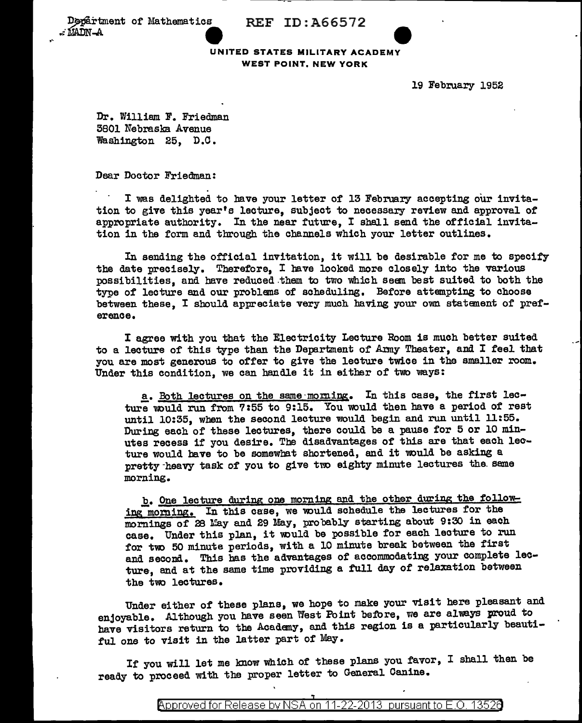Department of Mathematics REF ID:A66572



19 February 1952

Dr. William F. Friedman 5801 Nebraska Avenue Washington 25, D.O.

Dear Doctor Friedman:

I was delighted to have your letter of 13 February accepting our invitation to give this year's lecture, subject to necessary review and approval of appropriate authority. In the near future, I shall send the official invitation in the form and through the channels which your letter outlines.

In sending the official invitation, it will be desirable for me to specify the date precisely. Therefore, I bave looked more closely into the various possibilities, and have reduced them to two which seem best suited to both the type of lecture and our problems of scheduling. Before attempting to choose between these, I should appreciate very much having your own statement of preference.

I agree with you that the Electricity Lecture Room is much better suited to a lecture of this type than the Department of Army Theater, and I feel that you are most generous to offer to give the lecture twice in the smaller room. Under this condition, we can handle it in either of two ways:

a. Both lectures on the same morning. In this case, the first lecture would run from 7:55 to 9:15. You would then have a period of rest until 10:35, when the second lecture would begin and run until 11:55. During each of these lectures, there could be a pause for 5 or 10 minutes recess if you desire. The disadvantages of this are that each lecture would have to be somewhat shortened, and it would be asking a pretty-heavy task of you to give two eighty minute lectures the same morning •

b. One lecture during one morning and the other during the following morning. In this case, we would schedule the lectures for the mornings of 28 May and 29 May, probably starting about 9:30 in each case. Under this plan, it would be possible for each lecture to run for two 50 minute periods, with a 10 minute break between the first and second. This bas the advantages of accommodating your complete lecture, and at the same time providing a full day of relaxation between the two lectures.

Under either of these plans, we hope to make your visit here pleasant and enjoyable. Although you have seen West Point before, we are always proud to have visitors return to the Academy, and this region is a particularly beautiful one to visit in the latter part of May.

If you will let me know which of these plans you favor, I shall then be ready to proceed with the proper letter to General Canine.